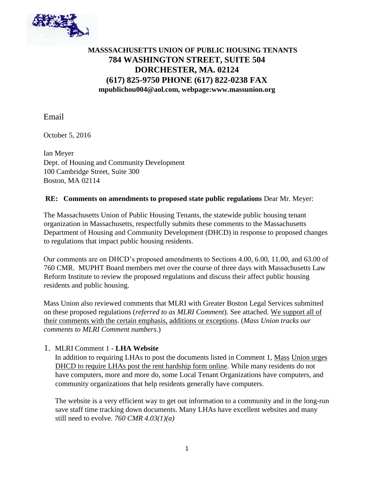

# **MASSSACHUSETTS UNION OF PUBLIC HOUSING TENANTS 784 WASHINGTON STREET, SUITE 504 DORCHESTER, MA. 02124 (617) 825-9750 PHONE (617) 822-0238 FAX mpublichou004@aol.com, webpage:www.massunion.org**

Email

October 5, 2016

Ian Meyer Dept. of Housing and Community Development 100 Cambridge Street, Suite 300 Boston, MA 02114

#### **RE: Comments on amendments to proposed state public regulations** Dear Mr. Meyer:

The Massachusetts Union of Public Housing Tenants, the statewide public housing tenant organization in Massachusetts, respectfully submits these comments to the Massachusetts Department of Housing and Community Development (DHCD) in response to proposed changes to regulations that impact public housing residents.

Our comments are on DHCD's proposed amendments to Sections 4.00, 6.00, 11.00, and 63.00 of 760 CMR. MUPHT Board members met over the course of three days with Massachusetts Law Reform Institute to review the proposed regulations and discuss their affect public housing residents and public housing.

Mass Union also reviewed comments that MLRI with Greater Boston Legal Services submitted on these proposed regulations (*referred to as MLRI Comment*). See attached. We support all of their comments with the certain emphasis, additions or exceptions. (*Mass Union tracks our comments to MLRI Comment numbers.*)

### 1. MLRI Comment 1 - **LHA Website**

In addition to requiring LHAs to post the documents listed in Comment 1, Mass Union urges DHCD to require LHAs post the rent hardship form online. While many residents do not have computers, more and more do, some Local Tenant Organizations have computers, and community organizations that help residents generally have computers.

The website is a very efficient way to get out information to a community and in the long-run save staff time tracking down documents. Many LHAs have excellent websites and many still need to evolve. *760 CMR 4.03(1)(a)*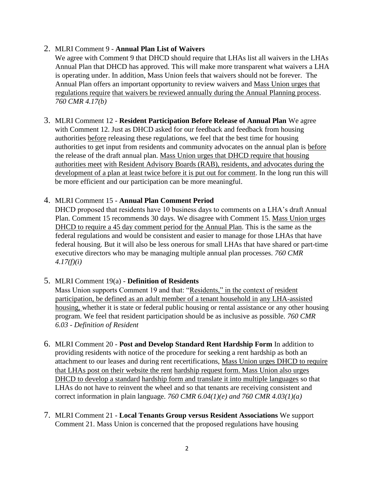### 2. MLRI Comment 9 - **Annual Plan List of Waivers**

We agree with Comment 9 that DHCD should require that LHAs list all waivers in the LHAs Annual Plan that DHCD has approved. This will make more transparent what waivers a LHA is operating under. In addition, Mass Union feels that waivers should not be forever. The Annual Plan offers an important opportunity to review waivers and Mass Union urges that regulations require that waivers be reviewed annually during the Annual Planning process. *760 CMR 4.17(b)*

3. MLRI Comment 12 - **Resident Participation Before Release of Annual Plan** We agree with Comment 12. Just as DHCD asked for our feedback and feedback from housing authorities before releasing these regulations, we feel that the best time for housing authorities to get input from residents and community advocates on the annual plan is before the release of the draft annual plan. Mass Union urges that DHCD require that housing authorities meet with Resident Advisory Boards (RAB), residents, and advocates during the development of a plan at least twice before it is put out for comment. In the long run this will be more efficient and our participation can be more meaningful.

### 4. MLRI Comment 15 - **Annual Plan Comment Period**

DHCD proposed that residents have 10 business days to comments on a LHA's draft Annual Plan. Comment 15 recommends 30 days. We disagree with Comment 15. Mass Union urges DHCD to require a 45 day comment period for the Annual Plan. This is the same as the federal regulations and would be consistent and easier to manage for those LHAs that have federal housing. But it will also be less onerous for small LHAs that have shared or part-time executive directors who may be managing multiple annual plan processes. *760 CMR 4.17(f)(i)*

### 5. MLRI Comment 19(a) - **Definition of Residents**

Mass Union supports Comment 19 and that: "Residents," in the context of resident participation, be defined as an adult member of a tenant household in any LHA-assisted housing, whether it is state or federal public housing or rental assistance or any other housing program. We feel that resident participation should be as inclusive as possible. *760 CMR 6.03 - Definition of Resident*

- 6. MLRI Comment 20 **Post and Develop Standard Rent Hardship Form** In addition to providing residents with notice of the procedure for seeking a rent hardship as both an attachment to our leases and during rent recertifications, Mass Union urges DHCD to require that LHAs post on their website the rent hardship request form. Mass Union also urges DHCD to develop a standard hardship form and translate it into multiple languages so that LHAs do not have to reinvent the wheel and so that tenants are receiving consistent and correct information in plain language. *760 CMR 6.04(1)(e) and 760 CMR 4.03(1)(a)*
- 7. MLRI Comment 21 **Local Tenants Group versus Resident Associations** We support Comment 21. Mass Union is concerned that the proposed regulations have housing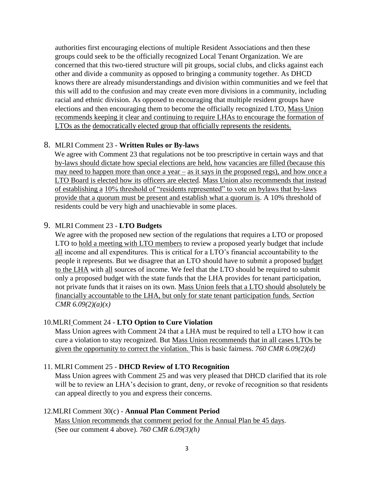authorities first encouraging elections of multiple Resident Associations and then these groups could seek to be the officially recognized Local Tenant Organization. We are concerned that this two-tiered structure will pit groups, social clubs, and clicks against each other and divide a community as opposed to bringing a community together. As DHCD knows there are already misunderstandings and division within communities and we feel that this will add to the confusion and may create even more divisions in a community, including racial and ethnic division. As opposed to encouraging that multiple resident groups have elections and then encouraging them to become the officially recognized LTO, Mass Union recommends keeping it clear and continuing to require LHAs to encourage the formation of LTOs as the democratically elected group that officially represents the residents.

### 8. MLRI Comment 23 - **Written Rules or By-laws**

We agree with Comment 23 that regulations not be too prescriptive in certain ways and that by-laws should dictate how special elections are held, how vacancies are filled (because this may need to happen more than once a year – as it says in the proposed regs), and how once a LTO Board is elected how its officers are elected. Mass Union also recommends that instead of establishing a 10% threshold of "residents represented" to vote on bylaws that by-laws provide that a quorum must be present and establish what a quorum is. A 10% threshold of residents could be very high and unachievable in some places.

## 9. MLRI Comment 23 - **LTO Budgets**

We agree with the proposed new section of the regulations that requires a LTO or proposed LTO to hold a meeting with LTO members to review a proposed yearly budget that include all income and all expenditures. This is critical for a LTO's financial accountability to the people it represents. But we disagree that an LTO should have to submit a proposed budget to the LHA with all sources of income. We feel that the LTO should be required to submit only a proposed budget with the state funds that the LHA provides for tenant participation, not private funds that it raises on its own. Mass Union feels that a LTO should absolutely be financially accountable to the LHA, but only for state tenant participation funds. *Section CMR 6.09(2)(a)(x)*

### 10.MLRI Comment 24 - **LTO Option to Cure Violation**

Mass Union agrees with Comment 24 that a LHA must be required to tell a LTO how it can cure a violation to stay recognized. But Mass Union recommends that in all cases LTOs be given the opportunity to correct the violation. This is basic fairness. *760 CMR 6.09(2)(d)*

### 11. MLRI Comment 25 - **DHCD Review of LTO Recognition**

Mass Union agrees with Comment 25 and was very pleased that DHCD clarified that its role will be to review an LHA's decision to grant, deny, or revoke of recognition so that residents can appeal directly to you and express their concerns.

### 12.MLRI Comment 30(c) - **Annual Plan Comment Period**

Mass Union recommends that comment period for the Annual Plan be 45 days. (See our comment 4 above). *760 CMR 6.09(3)(h)*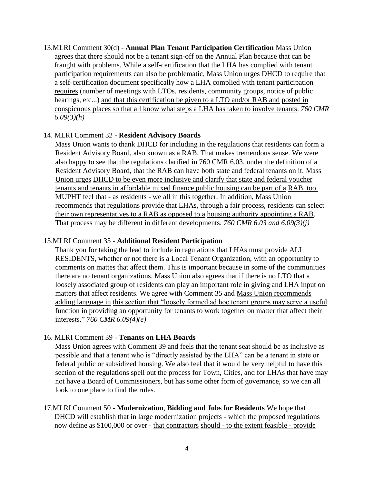13.MLRI Comment 30(d) - **Annual Plan Tenant Participation Certification** Mass Union agrees that there should not be a tenant sign-off on the Annual Plan because that can be fraught with problems. While a self-certification that the LHA has complied with tenant participation requirements can also be problematic, Mass Union urges DHCD to require that a self-certification document specifically how a LHA complied with tenant participation requires (number of meetings with LTOs, residents, community groups, notice of public hearings, etc...) and that this certification be given to a LTO and/or RAB and posted in conspicuous places so that all know what steps a LHA has taken to involve tenants. *760 CMR 6.09(3)(h)*

#### 14. MLRI Comment 32 - **Resident Advisory Boards**

Mass Union wants to thank DHCD for including in the regulations that residents can form a Resident Advisory Board, also known as a RAB. That makes tremendous sense. We were also happy to see that the regulations clarified in 760 CMR 6.03, under the definition of a Resident Advisory Board, that the RAB can have both state and federal tenants on it. Mass Union urges DHCD to be even more inclusive and clarify that state and federal voucher tenants and tenants in affordable mixed finance public housing can be part of a RAB, too. MUPHT feel that - as residents - we all in this together. In addition, Mass Union recommends that regulations provide that LHAs, through a fair process, residents can select their own representatives to a RAB as opposed to a housing authority appointing a RAB. That process may be different in different developments. *760 CMR 6.03 and 6.09(3)(j)*

#### 15.MLRI Comment 35 - **Additional Resident Participation**

Thank you for taking the lead to include in regulations that LHAs must provide ALL RESIDENTS, whether or not there is a Local Tenant Organization, with an opportunity to comments on mattes that affect them. This is important because in some of the communities there are no tenant organizations. Mass Union also agrees that if there is no LTO that a loosely associated group of residents can play an important role in giving and LHA input on matters that affect residents. We agree with Comment 35 and Mass Union recommends adding language in this section that "loosely formed ad hoc tenant groups may serve a useful function in providing an opportunity for tenants to work together on matter that affect their interests." *760 CMR 6.09(4)(e)*

#### 16. MLRI Comment 39 - **Tenants on LHA Boards**

Mass Union agrees with Comment 39 and feels that the tenant seat should be as inclusive as possible and that a tenant who is "directly assisted by the LHA" can be a tenant in state or federal public or subsidized housing. We also feel that it would be very helpful to have this section of the regulations spell out the process for Town, Cities, and for LHAs that have may not have a Board of Commissioners, but has some other form of governance, so we can all look to one place to find the rules.

### 17.MLRI Comment 50 - **Modernization**, **Bidding and Jobs for Residents** We hope that DHCD will establish that in large modernization projects - which the proposed regulations now define as \$100,000 or over - that contractors should - to the extent feasible - provide